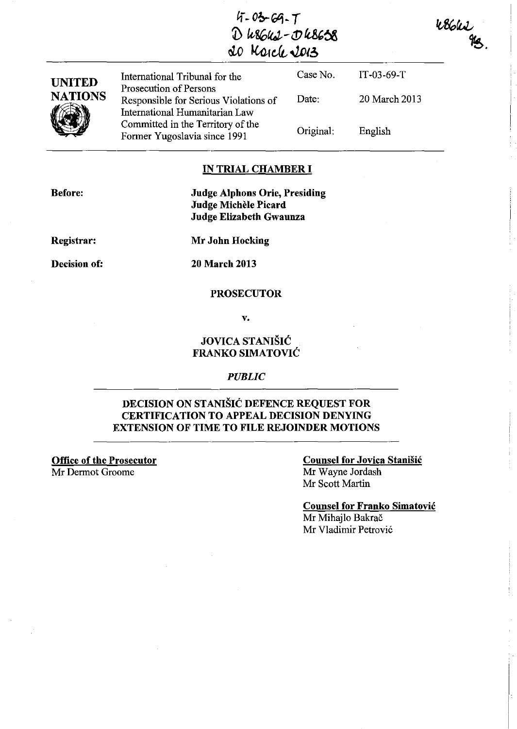| $4 - 03 - 69 - 7$ |
|-------------------|
| D WS6U2-DU8638    |
| 20 March 2013     |

 $48611$ 

| <b>UNITED</b>             | International Tribunal for the                                                                    | Case No.  | $IT-03-69-T$  |  |  |
|---------------------------|---------------------------------------------------------------------------------------------------|-----------|---------------|--|--|
| <b>NATIONS</b>            | Prosecution of Persons<br>Responsible for Serious Violations of<br>International Humanitarian Law | Date:     | 20 March 2013 |  |  |
|                           | Committed in the Territory of the<br>Former Yugoslavia since 1991                                 | Original: | English       |  |  |
| <b>IN TRIAL CHAMBER I</b> |                                                                                                   |           |               |  |  |

#### **IN TRIAL CHAMBER I**

**Before:** 

**Judge Alphons Orie, Presiding Judge MicheIe Picard Judge Elizabeth Gwaunza** 

**Registrar:** 

**Decision of:** 

**Mr John Hocking** 

**20 March 2013** 

#### **PROSECUTOR**

**v.** 

## **JOVICA STANIŠIĆ FRANKO SIMATOVIC**

#### *PUBLIC*

## **DECISION ON STANISIC DEFENCE REQUEST FOR CERTIFICATION TO APPEAL DECISION DENYING EXTENSION OF TIME TO FILE REJOINDER MOTIONS**

**Office of the Prosecutor**  Mr Dermot Groome

#### **Counsel for Jovica Stanisic**  Mr Wayne Jordash Mr Scott Martin

**Counsel for Franko Simatovic**  Mr Mihajlo Bakrač

Mr Vladimir Petrovi6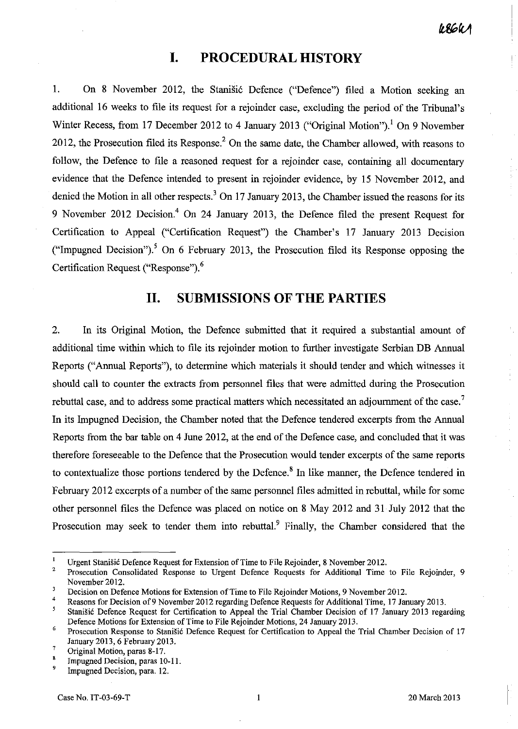÷

# **I. PROCEDURAL HISTORY**

1. On 8 November 2012, the Stanistic Defence ("Defence") filed a Motion seeking an additional 16 weeks to file its request for a rejoinder case, excluding the period of the Tribunal's Winter Recess, from 17 December 2012 to 4 January 2013 ("Original Motion").<sup>1</sup> On 9 November 2012, the Prosecution filed its Response? On the same date, the Chamber allowed, with reasons to follow, the Defence to file a reasoned request for a rejoinder case, containing all documentary evidence that the Defence intended to present in rejoinder evidence, by 15 November 2012, and denied the Motion in all other respects.<sup>3</sup> On 17 January 2013, the Chamber issued the reasons for its 9 November 2012 Decision.4 On 24 January 2013, the Defence filed the present Request for Certification to Appeal ("Certification Request") the Chamber's 17 January 2013 Decision ("Impugned Decision").<sup>5</sup> On 6 February 2013, the Prosecution filed its Response opposing the Certification Request ("Response").<sup>6</sup>

## **11. SUBMISSIONS OF THE PARTIES**

2. In its Original Motion, the Defence submitted that it required a substantial amount of additional time within which to file its rejoinder motion to further investigate Serbian DB Annual Reports ("Annual Reports"), to determine which materials it should tender and which witnesses it should call to counter the extracts from personnel files that were admitted during the Prosecution rebuttal case, and to address some practical matters which necessitated an adjournment of the case.<sup>7</sup> In its Impugned Decision, the Chamber noted that the Defence tendered excerpts from the Annual Reports from the bar table on 4 June 2012, at the end of the Defence case, and concluded that it was therefore foreseeable to the Defence that the Prosecution would tender excerpts of the same reports to contextualize those portions tendered by the Defence.<sup>8</sup> In like manner, the Defence tendered in February 2012 excerpts of a number of the same personnel files admitted in rebuttal, while for some other personnel files the Defence was placed on notice on 8 May 2012 and 31 July 2012 that the Prosecution may seek to tender them into rebuttal.<sup>9</sup> Finally, the Chamber considered that the

 $\mathbf{I}$ Urgent Stanisit Defence Request for Extension of Time to File Rejoinder, 8 November 2012.

<sup>2</sup>  Prosecution Consolidated Response to Urgent Defence Requests for Additional Time to File Rejoinder, 9 November 2012.

 $\boldsymbol{\boldsymbol{3}}$ Decision on Defence Motions for Extension of Time to File Rejoinder Motions, 9 November 2012. 4

Reasons for Decision of 9 November 2012 regarding Defence Requests for Additional Time, 17 January 20 13.

 $\overline{\mathbf{5}}$ Stanišić Defence Request for Certification to Appeal the Trial Chamber Decision of 17 January 2013 regarding Defence Motions for Extension of Time to File Rejoinder Motions, 24 January 2013.

<sup>6</sup>  Prosecution Response to Stanišić Defence Request for Certification to Appeal the Trial Chamber Decision of 17 January 2013, 6 February 2013.

<sup>7</sup>  Original Motion, paras 8-17.

<sup>8</sup>  Impugned Decision, paras 10-11.

<sup>9</sup>  Impugned Decision, para. 12.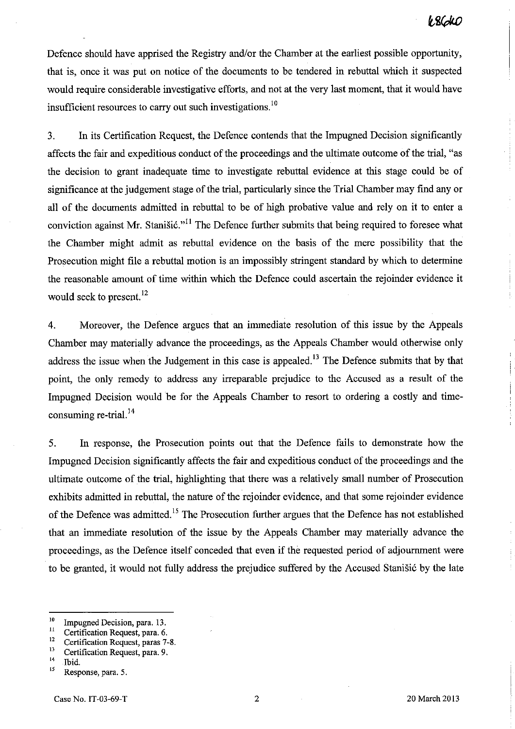Defence should have apprised the Registry and/or the Chamber at the earliest possible opportunity, that is, once it was put on notice of the documents to be tendered in rebuttal which it suspected would require considerable investigative efforts, and not at the very last moment, that it would have insufficient resources to carry out such investigations. 10

3. In its Certification Request, the Defence contends that the Impugned Decision significantly affects the fair and expeditious conduct of the proceedings and the ultimate outcome of the trial, "as the decision to grant inadequate time to investigate rebuttal evidence at this stage could be of significance at the judgement stage of the trial, particularly since the Trial Chamber may find any or all of the documents admitted in rebuttal to be of high probative value and rely on it to enter a conviction against Mr. Stanistic."<sup>11</sup> The Defence further submits that being required to foresee what the Chamber might admit as rebuttal evidence on the basis of the mere possibility that the Prosecution might file a rebuttal motion is an impossibly stringent standard by which to determine the reasonable amount of time within which the Defence could ascertain the rejoinder evidence it would seek to present.<sup>12</sup>

4. Moreover, the Defence argues that an immediate resolution of this issue by the Appeals Chamber may materially advance the proceedings, as the Appeals Chamber would otherwise only address the issue when the Judgement in this case is appealed.<sup>13</sup> The Defence submits that by that point, the only remedy to address any irreparable prejudice to the Accused as a result of the Impugned Decision would be for the Appeals Chamber to resort to ordering a costly and timeconsuming re-trial. 14

5. In response, the Prosecution points out that the Defence fails to demonstrate how the Impugned Decision significantly affects the fair and expeditious conduct of the proceedings and the ultimate outcome of the trial, highlighting that there was a relatively small number of Prosecution exhibits admitted in rebuttal, the nature of the rejoinder evidence, and that some rejoinder evidence of the Defence was admitted.<sup>15</sup> The Prosecution further argues that the Defence has not established that an immediate resolution of the issue by the Appeals Chamber may materially advance the proceedings, as the Defence itself conceded that even if the requested period of adjourument were to be granted, it would not fully address the prejudice suffered by the Accused Stanisić by the late

<sup>&</sup>lt;sup>10</sup> Impugned Decision, para. 13.<br><sup>11</sup> Certification Bequest para 6.

<sup>&</sup>lt;sup>11</sup> Certification Request, para. 6.<br><sup>12</sup> Certification Request, paras. 7.

<sup>&</sup>lt;sup>12</sup> Certification Request, paras 7-8.<br><sup>13</sup> Certification Bequest name 0.

 $^{13}$  Certification Request, para. 9.

 $^{14}$  Ibid.<br> $^{15}$  Pern

Response, para. 5.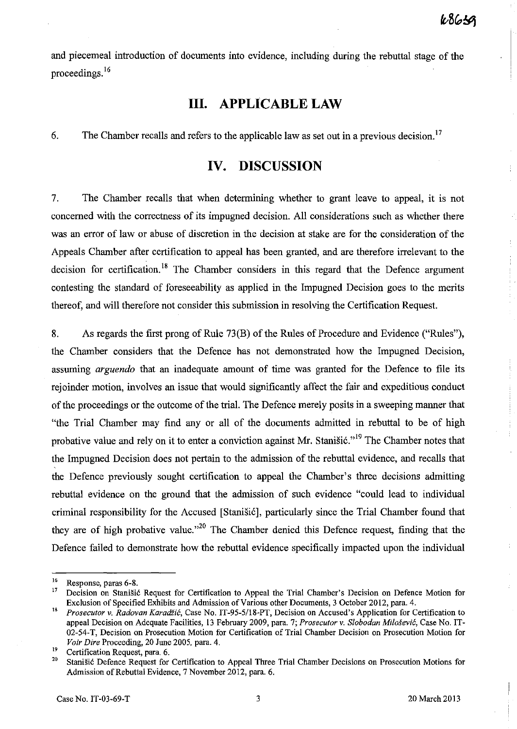and piecemeal introduction of documents into evidence, including during the rebuttal stage of the proceedings. 16

# **Ill. APPLICABLE LAW**

6. The Chamber recalls and refers to the applicable law as set out in a previous decision.<sup>17</sup>

## **IV. DISCUSSION**

7. The Chamber recalls that when determining whether to grant leave to appeal, it is not concerned with the correctness of its impugned decision. All considerations such as whether there was an error of law or abuse of discretion in the decision at stake are for the consideration of the Appeals Chamber after certification to appeal has been granted, and are therefore irrelevant to the decision for certification.<sup>18</sup> The Chamber considers in this regard that the Defence argument contesting the standard of foreseeability as applied in the Impugned Decision goes to the merits thereof, and will therefore not consider this submission in resolving the Certification Request.

8. As regards the first prong of Rule 73(B) of the Rules of Procedure and Evidence ("Rules"), the Chamber considers that the Defence has not demonstrated how the Impugned Decision, assuming *arguendo* that an inadequate amount of time was granted for the Defence to file its rejoinder motion, involves an issue that would significantly affect the fair and expeditious conduct of the proceedings or the outcome of the trial. The Defence merely posits in a sweeping marmer that "the Trial Chamber may find any or all of the documents admitted in rebuttal to be of high probative value and rely on it to enter a conviction against Mr. Stanistic."<sup>19</sup> The Chamber notes that the Impugned Decision does not pertain to the admission of the rebuttal evidence, and recalls that the Defence previously sought certification to appeal the Chamber's three decisions admitting rebuttal evidence on the ground that the admission of such evidence "could lead to individual criminal responsibility for the Accused [Stanisi6], particularly since the Trial Chamber found that they are of high probative value.<sup> $,20$ </sup> The Chamber denied this Defence request, finding that the Defence failed to demonstrate how the rebuttal evidence specifically impacted upon the individual

**<sup>16</sup> Response, paras 6-8.** 

<sup>17</sup> Decision on StaniSic Request for Certification to Appeal the Trial Chamber's Decision on Defence Motion for Exclusion of Specified Exhibits and Admission of Various other Documents, 3 October 2012, para. 4.

<sup>&</sup>lt;sup>18</sup> Prosecutor v. Radovan Karadžić, Case No. IT-95-5/18-PT, Decision on Accused's Application for Certification to appeal Decision on Adequate Facilities, 13 February 2009, para. 7; *Prosecutor* v. *Slobodan Milosevic,* Case No. IT-02-54-T, Decision on Prosecution Motion for Certification of Trial Chamber Decision on Prosecution Motion for *Voir Dire* Proceeding, 20 June 2005, para. 4.

<sup>&</sup>lt;sup>19</sup> Certification Request, para. 6.<br><sup>20</sup> Stanišić Defense Besuest for

<sup>20</sup> Stanisic Defence Request for Certification to Appeal Three Trial Chamber Decisions on Prosecution Motions for Admission of Rebuttal Evidence, 7 November 2012, para. 6.